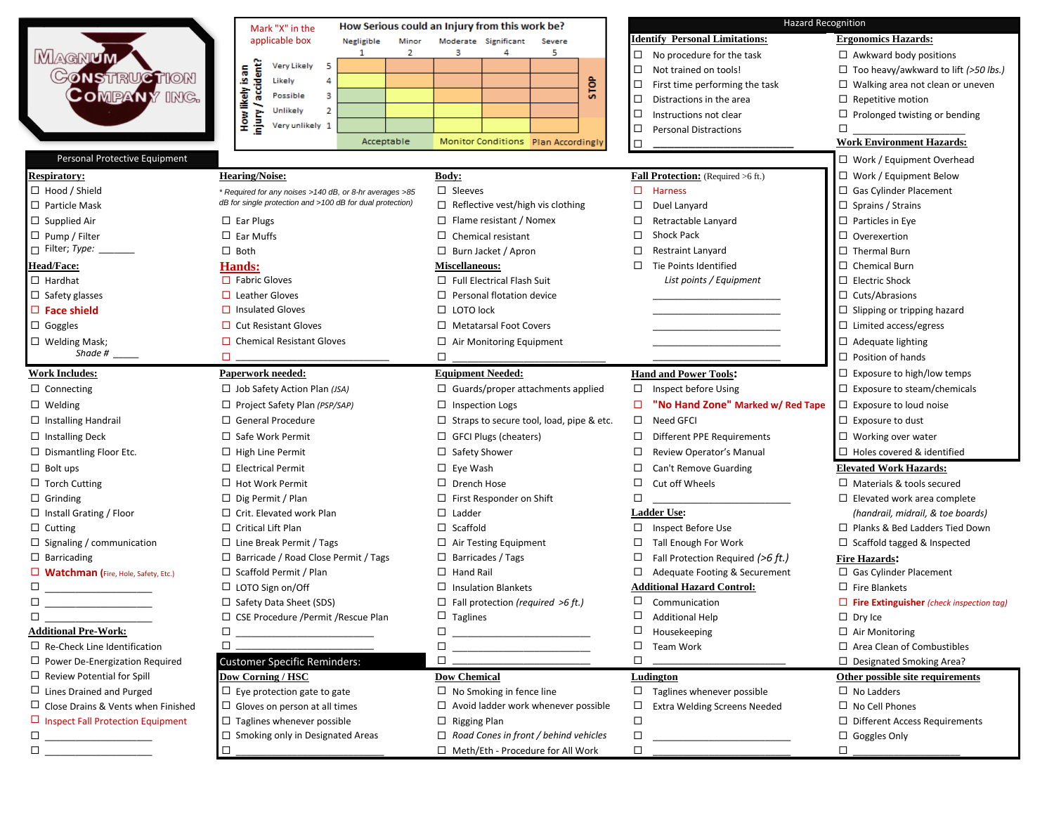|                                            | Mark "X" in the                                           | How Serious could an Injury from this work be?              |                                               | <b>Hazard Recognition</b>                       |  |  |  |
|--------------------------------------------|-----------------------------------------------------------|-------------------------------------------------------------|-----------------------------------------------|-------------------------------------------------|--|--|--|
|                                            | applicable box<br>Minor<br>Negligible                     | Moderate Significant<br>Severe                              | <b>Identify Personal Limitations:</b>         | <b>Ergonomics Hazards:</b>                      |  |  |  |
| <b>MAGNUM</b>                              | 2<br>1                                                    | 5<br>3<br>4                                                 | $\Box$ No procedure for the task              | $\Box$ Awkward body positions                   |  |  |  |
| <b>GONSTRUCTION</b>                        | Very Likely<br>5                                          |                                                             | $\Box$<br>Not trained on tools!               | $\Box$ Too heavy/awkward to lift (>50 lbs.)     |  |  |  |
|                                            | accident?<br>How likely is an<br>Likely<br>4              | <b>STOP</b>                                                 | First time performing the task<br>□.          | $\Box$ Walking area not clean or uneven         |  |  |  |
| <b>COMPANY ING.</b>                        | 3<br>Possible                                             |                                                             | Distractions in the area<br>$\Box$            | $\Box$ Repetitive motion                        |  |  |  |
|                                            | $\overline{2}$<br>Unlikely<br>niur<br>E                   |                                                             | Instructions not clear<br>□                   | $\Box$ Prolonged twisting or bending            |  |  |  |
|                                            | Very unlikely 1                                           |                                                             | □<br><b>Personal Distractions</b>             | □                                               |  |  |  |
|                                            | Acceptable                                                | Monitor Conditions Plan Accordingly                         | □                                             | <b>Work Environment Hazards:</b>                |  |  |  |
| Personal Protective Equipment              |                                                           |                                                             |                                               | $\Box$ Work / Equipment Overhead                |  |  |  |
| <b>Respiratory:</b>                        | <b>Hearing/Noise:</b>                                     | <b>Body:</b>                                                | <b>Fall Protection:</b> (Required >6 ft.)     | $\Box$ Work / Equipment Below                   |  |  |  |
| $\Box$ Hood / Shield                       | * Required for any noises >140 dB, or 8-hr averages >85   | $\Box$ Sleeves                                              | $\Box$ Harness                                | □ Gas Cylinder Placement                        |  |  |  |
| $\Box$ Particle Mask                       | dB for single protection and >100 dB for dual protection) | $\Box$ Reflective vest/high vis clothing                    | $\Box$<br>Duel Lanyard                        | $\Box$ Sprains / Strains                        |  |  |  |
| $\Box$ Supplied Air                        | $\Box$ Ear Plugs                                          | $\Box$ Flame resistant / Nomex                              | $\Box$<br>Retractable Lanyard                 | $\Box$ Particles in Eye                         |  |  |  |
| $\Box$ Pump / Filter                       | $\square$ Ear Muffs                                       | □<br>Chemical resistant                                     | <b>Shock Pack</b><br>□                        | $\Box$ Overexertion                             |  |  |  |
|                                            | $\Box$ Both                                               | $\Box$ Burn Jacket / Apron                                  | Restraint Lanyard<br>□                        | $\Box$ Thermal Burn                             |  |  |  |
| Head/Face:                                 | <b>Hands:</b>                                             | <b>Miscellaneous:</b>                                       | Tie Points Identified<br>$\Box$               | $\Box$ Chemical Burn                            |  |  |  |
| $\Box$ Hardhat                             | $\Box$ Fabric Gloves                                      | $\Box$ Full Electrical Flash Suit                           | List points / Equipment                       | $\Box$ Electric Shock                           |  |  |  |
| $\Box$ Safety glasses                      | $\Box$ Leather Gloves                                     | □<br>Personal flotation device                              |                                               | $\Box$ Cuts/Abrasions                           |  |  |  |
| $\Box$ Face shield                         | $\Box$ Insulated Gloves                                   | $\Box$<br>LOTO lock                                         |                                               | $\Box$ Slipping or tripping hazard              |  |  |  |
| $\Box$ Goggles                             | $\Box$ Cut Resistant Gloves                               | □<br><b>Metatarsal Foot Covers</b>                          |                                               | $\Box$ Limited access/egress                    |  |  |  |
| $\square$ Welding Mask;                    | $\Box$ Chemical Resistant Gloves                          | $\Box$ Air Monitoring Equipment                             |                                               | $\Box$ Adequate lighting                        |  |  |  |
| Shade # $\_\_$                             | $\square$                                                 | □                                                           |                                               | $\Box$ Position of hands                        |  |  |  |
| <b>Work Includes:</b>                      | Paperwork needed:                                         | <b>Equipment Needed:</b>                                    | <b>Hand and Power Tools:</b>                  | $\Box$ Exposure to high/low temps               |  |  |  |
| $\Box$ Connecting                          | $\Box$ Job Safety Action Plan (JSA)                       | $\Box$ Guards/proper attachments applied                    | $\Box$ Inspect before Using                   | $\Box$ Exposure to steam/chemicals              |  |  |  |
| $\Box$ Welding                             | $\Box$ Project Safety Plan (PSP/SAP)                      | Inspection Logs<br>□                                        | "No Hand Zone" Marked w/ Red Tape<br>□        | $\Box$ Exposure to loud noise                   |  |  |  |
| $\Box$ Installing Handrail                 | $\Box$ General Procedure                                  | Straps to secure tool, load, pipe & etc.<br>□.              | $\Box$<br>Need GFCI                           | $\Box$ Exposure to dust                         |  |  |  |
| $\Box$ Installing Deck                     | $\Box$ Safe Work Permit                                   | <b>GFCI Plugs (cheaters)</b><br>□                           | $\Box$<br>Different PPE Requirements          | $\Box$ Working over water                       |  |  |  |
| $\Box$ Dismantling Floor Etc.              | $\Box$ High Line Permit                                   | Safety Shower<br>□                                          | □<br>Review Operator's Manual                 | $\Box$ Holes covered & identified               |  |  |  |
| $\Box$ Bolt ups                            | $\Box$ Electrical Permit                                  | □<br>Eye Wash                                               | $\Box$<br>Can't Remove Guarding               | <b>Elevated Work Hazards:</b>                   |  |  |  |
| $\Box$ Torch Cutting                       | $\Box$ Hot Work Permit                                    | Drench Hose<br>□.                                           | $\Box$<br>Cut off Wheels                      | $\Box$ Materials & tools secured                |  |  |  |
| $\Box$ Grinding                            | $\Box$ Dig Permit / Plan                                  | $\Box$<br>First Responder on Shift                          | $\Box$                                        | $\Box$ Elevated work area complete              |  |  |  |
| $\Box$ Install Grating / Floor             | $\Box$ Crit. Elevated work Plan                           | $\Box$<br>Ladder                                            | <b>Ladder Use:</b>                            | (handrail, midrail, & toe boards)               |  |  |  |
| $\Box$ Cutting                             | $\Box$ Critical Lift Plan                                 | $\Box$ Scaffold                                             | □ Inspect Before Use                          | $\Box$ Planks & Bed Ladders Tied Down           |  |  |  |
| $\Box$ Signaling / communication           | $\Box$ Line Break Permit / Tags                           | Air Testing Equipment                                       | Tall Enough For Work<br>$\Box$                | $\Box$ Scaffold tagged & Inspected              |  |  |  |
| $\Box$ Barricading                         | $\Box$ Barricade / Road Close Permit / Tags               | □<br>Barricades / Tags                                      | $\Box$<br>Fall Protection Required (>6 ft.)   | <b>Fire Hazards:</b>                            |  |  |  |
| $\Box$ Watchman (Fire, Hole, Safety, Etc.) | $\Box$ Scaffold Permit / Plan                             | □<br><b>Hand Rail</b>                                       | □<br>Adequate Footing & Securement            | $\Box$ Gas Cylinder Placement                   |  |  |  |
| □                                          | □ LOTO Sign on/Off                                        | $\Box$ Insulation Blankets                                  | <b>Additional Hazard Control:</b>             | $\Box$ Fire Blankets                            |  |  |  |
| □                                          | $\Box$ Safety Data Sheet (SDS)                            | $\Box$ Fall protection (required >6 ft.)                    | Ц<br>Communication                            | $\Box$ Fire Extinguisher (check inspection tag) |  |  |  |
| □                                          | $\Box$ CSE Procedure /Permit /Rescue Plan                 | $\Box$ Taglines                                             | □<br><b>Additional Help</b>                   | $\Box$ Dry Ice                                  |  |  |  |
| <b>Additional Pre-Work:</b>                | $\Box$                                                    | $\Box$<br><u> 1980 - Johann Barbara, martxa alemaniar a</u> | □<br>Housekeeping                             | $\Box$ Air Monitoring                           |  |  |  |
| $\Box$ Re-Check Line Identification        | $\square$                                                 | □<br>the control of the control of the control of           | $\Box$<br>Team Work                           | $\Box$ Area Clean of Combustibles               |  |  |  |
| $\Box$ Power De-Energization Required      | <b>Customer Specific Reminders:</b>                       | $\Box$                                                      | $\Box$                                        | $\Box$ Designated Smoking Area?                 |  |  |  |
| $\Box$ Review Potential for Spill          | Dow Corning / HSC                                         | <b>Dow Chemical</b>                                         | Ludington                                     | Other possible site requirements                |  |  |  |
| $\Box$ Lines Drained and Purged            | $\Box$ Eye protection gate to gate                        | $\Box$ No Smoking in fence line                             | $\Box$ Taglines whenever possible             | $\Box$ No Ladders                               |  |  |  |
| $\Box$ Close Drains & Vents when Finished  | $\Box$ Gloves on person at all times                      | $\Box$ Avoid ladder work whenever possible                  | <b>Extra Welding Screens Needed</b><br>$\Box$ | $\square$ No Cell Phones                        |  |  |  |
| $\Box$ Inspect Fall Protection Equipment   | $\Box$ Taglines whenever possible                         | $\Box$<br><b>Rigging Plan</b>                               | $\Box$                                        | $\Box$ Different Access Requirements            |  |  |  |
| □                                          | □ Smoking only in Designated Areas                        | Road Cones in front / behind vehicles<br>□                  | $\Box$                                        | $\Box$ Goggles Only                             |  |  |  |
| □                                          | $\Box$                                                    | □ Meth/Eth - Procedure for All Work                         | $\Box$                                        | $\Box$                                          |  |  |  |
|                                            |                                                           |                                                             |                                               |                                                 |  |  |  |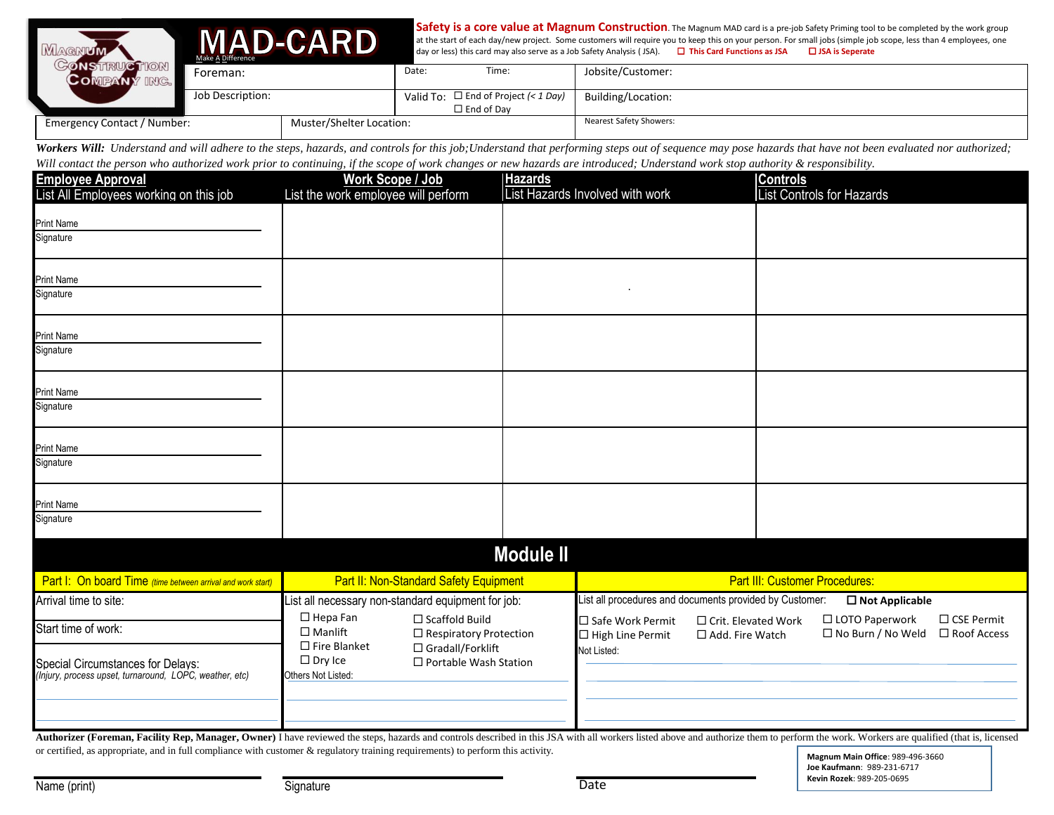|                                                         | <b>MAD-CARD</b><br><b>Make A Difference</b> |                  | Safety is a core value at Magnum Construction. The Magnum MAD card is a pre-job Safety Priming tool to be completed by the work group<br>at the start of each day/new project. Some customers will require you to keep this on your person. For small jobs (simple job scope, less than 4 employees, one<br>day or less) this card may also serve as a Job Safety Analysis (JSA).<br>$\Box$ This Card Functions as JSA<br>$\Box$ JSA is Seperate |                                |                                           |                    |  |
|---------------------------------------------------------|---------------------------------------------|------------------|--------------------------------------------------------------------------------------------------------------------------------------------------------------------------------------------------------------------------------------------------------------------------------------------------------------------------------------------------------------------------------------------------------------------------------------------------|--------------------------------|-------------------------------------------|--------------------|--|
|                                                         |                                             | Foreman:         |                                                                                                                                                                                                                                                                                                                                                                                                                                                  | Date:                          | Time:                                     | Jobsite/Customer:  |  |
|                                                         |                                             | Job Description: |                                                                                                                                                                                                                                                                                                                                                                                                                                                  |                                | Valid To: $\Box$ End of Project (< 1 Day) | Building/Location: |  |
|                                                         |                                             |                  |                                                                                                                                                                                                                                                                                                                                                                                                                                                  |                                | $\Box$ End of Dav                         |                    |  |
| Muster/Shelter Location:<br>Emergency Contact / Number: |                                             |                  |                                                                                                                                                                                                                                                                                                                                                                                                                                                  | <b>Nearest Safety Showers:</b> |                                           |                    |  |

Workers Will: Understand and will adhere to the steps, hazards, and controls for this job; Understand that performing steps out of sequence may pose hazards that have not been evaluated nor authorized; *Will contact the person who authorized work prior to continuing, if the scope of work changes or new hazards are introduced; Understand work stop authority & responsibility.*

| <b>Employee Approval</b>                                                                     |                                                                                                                 | Work Scope / Job                                       | <b>Hazards</b>                                                                      |                                               |                                                 | <b>Controls</b> |                                              |                                    |
|----------------------------------------------------------------------------------------------|-----------------------------------------------------------------------------------------------------------------|--------------------------------------------------------|-------------------------------------------------------------------------------------|-----------------------------------------------|-------------------------------------------------|-----------------|----------------------------------------------|------------------------------------|
| List All Employees working on this job                                                       | List the work employee will perform                                                                             |                                                        |                                                                                     | List Hazards Involved with work               |                                                 |                 | List Controls for Hazards                    |                                    |
| <b>Print Name</b>                                                                            |                                                                                                                 |                                                        |                                                                                     |                                               |                                                 |                 |                                              |                                    |
| Signature                                                                                    |                                                                                                                 |                                                        |                                                                                     |                                               |                                                 |                 |                                              |                                    |
|                                                                                              |                                                                                                                 |                                                        |                                                                                     |                                               |                                                 |                 |                                              |                                    |
| <b>Print Name</b><br>Signature                                                               |                                                                                                                 |                                                        |                                                                                     |                                               |                                                 |                 |                                              |                                    |
|                                                                                              |                                                                                                                 |                                                        |                                                                                     |                                               |                                                 |                 |                                              |                                    |
| <b>Print Name</b>                                                                            |                                                                                                                 |                                                        |                                                                                     |                                               |                                                 |                 |                                              |                                    |
| Signature                                                                                    |                                                                                                                 |                                                        |                                                                                     |                                               |                                                 |                 |                                              |                                    |
| <b>Print Name</b>                                                                            |                                                                                                                 |                                                        |                                                                                     |                                               |                                                 |                 |                                              |                                    |
| Signature                                                                                    |                                                                                                                 |                                                        |                                                                                     |                                               |                                                 |                 |                                              |                                    |
| <b>Print Name</b>                                                                            |                                                                                                                 |                                                        |                                                                                     |                                               |                                                 |                 |                                              |                                    |
| Signature                                                                                    |                                                                                                                 |                                                        |                                                                                     |                                               |                                                 |                 |                                              |                                    |
| <b>Print Name</b>                                                                            |                                                                                                                 |                                                        |                                                                                     |                                               |                                                 |                 |                                              |                                    |
| Signature                                                                                    |                                                                                                                 |                                                        |                                                                                     |                                               |                                                 |                 |                                              |                                    |
|                                                                                              |                                                                                                                 |                                                        | <b>Module II</b>                                                                    |                                               |                                                 |                 |                                              |                                    |
| Part I: On board Time (time between arrival and work start)                                  | <b>Part II: Non-Standard Safety Equipment</b>                                                                   |                                                        | <b>Part III: Customer Procedures:</b>                                               |                                               |                                                 |                 |                                              |                                    |
| Arrival time to site:                                                                        | List all necessary non-standard equipment for job:                                                              |                                                        | List all procedures and documents provided by Customer:<br>$\square$ Not Applicable |                                               |                                                 |                 |                                              |                                    |
| Start time of work:                                                                          | $\Box$ Hepa Fan<br>$\square$ Manlift                                                                            | $\Box$ Scaffold Build<br>$\Box$ Respiratory Protection |                                                                                     | □ Safe Work Permit<br>$\Box$ High Line Permit | $\Box$ Crit. Elevated Work<br>□ Add. Fire Watch |                 | □ LOTO Paperwork<br>$\Box$ No Burn / No Weld | $\Box$ CSE Permit<br>□ Roof Access |
| Special Circumstances for Delays:<br>(Injury, process upset, turnaround, LOPC, weather, etc) | $\square$ Fire Blanket<br>□ Gradall/Forklift<br>$\Box$ Dry Ice<br>□ Portable Wash Station<br>Others Not Listed: |                                                        |                                                                                     | Not Listed:                                   |                                                 |                 |                                              |                                    |
|                                                                                              |                                                                                                                 |                                                        |                                                                                     |                                               |                                                 |                 |                                              |                                    |
|                                                                                              |                                                                                                                 |                                                        |                                                                                     |                                               |                                                 |                 |                                              |                                    |

Authorizer (Foreman, Facility Rep, Manager, Owner) I have reviewed the steps, hazards and controls described in this JSA with all workers listed above and authorize them to perform the work. Workers are qualified (that is, or certified, as appropriate, and in full compliance with customer & regulatory training requirements) to perform this activity.